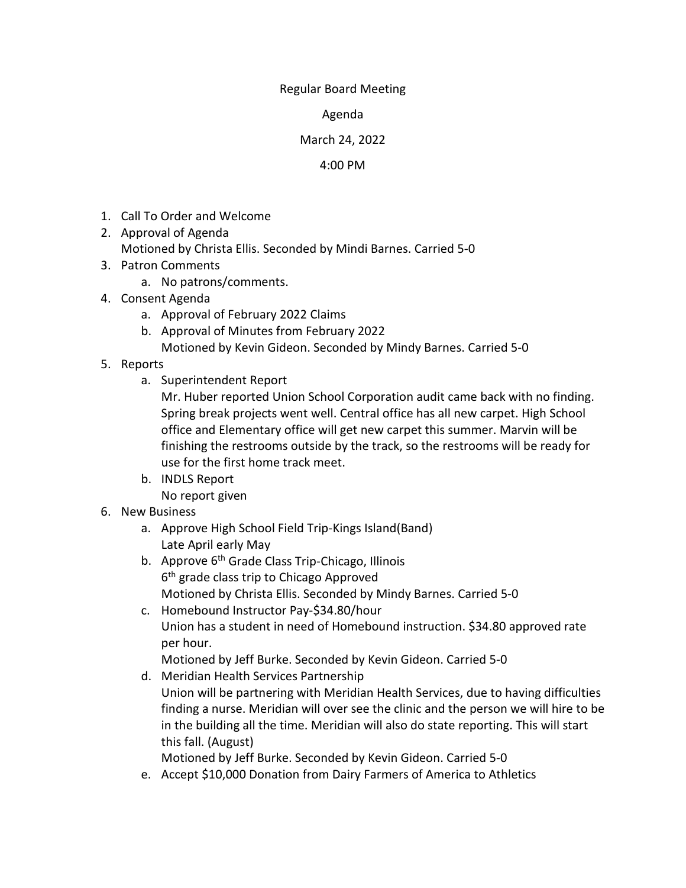## Regular Board Meeting

Agenda

## March 24, 2022

## 4:00 PM

- 1. Call To Order and Welcome
- 2. Approval of Agenda Motioned by Christa Ellis. Seconded by Mindi Barnes. Carried 5-0
- 3. Patron Comments
	- a. No patrons/comments.
- 4. Consent Agenda
	- a. Approval of February 2022 Claims
	- b. Approval of Minutes from February 2022
		- Motioned by Kevin Gideon. Seconded by Mindy Barnes. Carried 5-0
- 5. Reports
	- a. Superintendent Report

Mr. Huber reported Union School Corporation audit came back with no finding. Spring break projects went well. Central office has all new carpet. High School office and Elementary office will get new carpet this summer. Marvin will be finishing the restrooms outside by the track, so the restrooms will be ready for use for the first home track meet.

- b. INDLS Report No report given
- 6. New Business
	- a. Approve High School Field Trip-Kings Island(Band) Late April early May
	- b. Approve 6<sup>th</sup> Grade Class Trip-Chicago, Illinois 6th grade class trip to Chicago Approved Motioned by Christa Ellis. Seconded by Mindy Barnes. Carried 5-0
	- c. Homebound Instructor Pay-\$34.80/hour Union has a student in need of Homebound instruction. \$34.80 approved rate per hour.

Motioned by Jeff Burke. Seconded by Kevin Gideon. Carried 5-0

d. Meridian Health Services Partnership Union will be partnering with Meridian Health Services, due to having difficulties finding a nurse. Meridian will over see the clinic and the person we will hire to be in the building all the time. Meridian will also do state reporting. This will start this fall. (August)

Motioned by Jeff Burke. Seconded by Kevin Gideon. Carried 5-0

e. Accept \$10,000 Donation from Dairy Farmers of America to Athletics